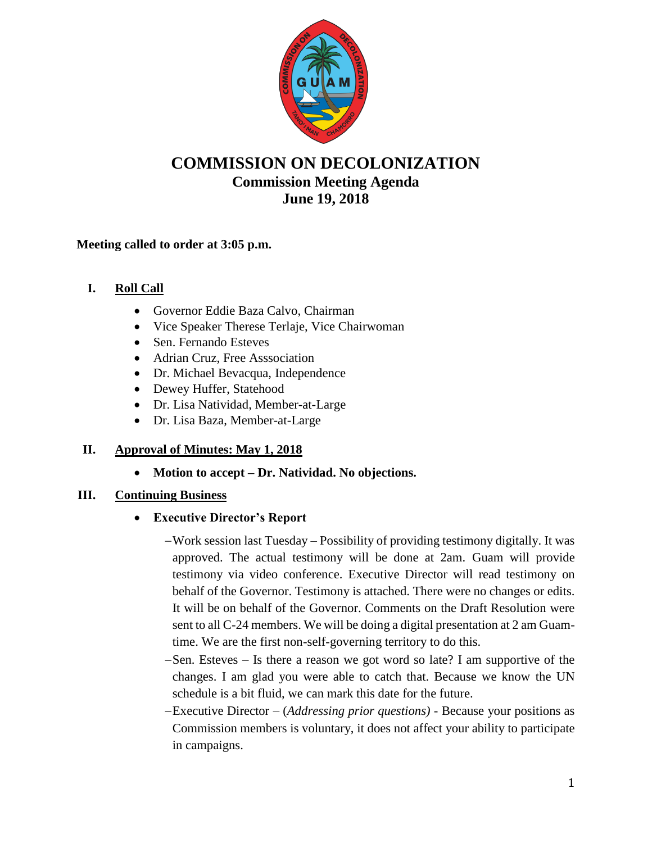

# **COMMISSION ON DECOLONIZATION Commission Meeting Agenda June 19, 2018**

#### **Meeting called to order at 3:05 p.m.**

## **I. Roll Call**

- Governor Eddie Baza Calvo, Chairman
- Vice Speaker Therese Terlaje, Vice Chairwoman
- Sen. Fernando Esteves
- Adrian Cruz, Free Asssociation
- Dr. Michael Bevacqua, Independence
- Dewey Huffer, Statehood
- Dr. Lisa Natividad, Member-at-Large
- Dr. Lisa Baza, Member-at-Large

## **II. Approval of Minutes: May 1, 2018**

**Motion to accept – Dr. Natividad. No objections.** 

## **III. Continuing Business**

## **Executive Director's Report**

- Work session last Tuesday Possibility of providing testimony digitally. It was approved. The actual testimony will be done at 2am. Guam will provide testimony via video conference. Executive Director will read testimony on behalf of the Governor. Testimony is attached. There were no changes or edits. It will be on behalf of the Governor. Comments on the Draft Resolution were sent to all C-24 members. We will be doing a digital presentation at 2 am Guamtime. We are the first non-self-governing territory to do this.
- -Sen. Esteves Is there a reason we got word so late? I am supportive of the changes. I am glad you were able to catch that. Because we know the UN schedule is a bit fluid, we can mark this date for the future.
- Executive Director (*Addressing prior questions)* Because your positions as Commission members is voluntary, it does not affect your ability to participate in campaigns.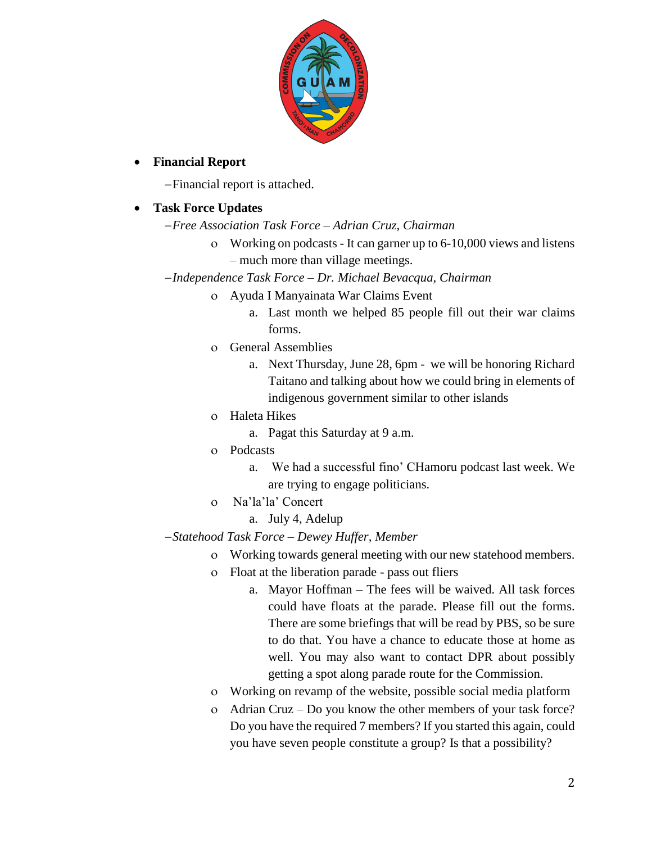

#### **Financial Report**

Financial report is attached.

## **Task Force Updates**

- *Free Association Task Force – Adrian Cruz, Chairman*
	- Working on podcasts It can garner up to 6-10,000 views and listens – much more than village meetings.
- *Independence Task Force – Dr. Michael Bevacqua, Chairman*
	- Ayuda I Manyainata War Claims Event
		- a. Last month we helped 85 people fill out their war claims forms.
	- General Assemblies
		- a. Next Thursday, June 28, 6pm we will be honoring Richard Taitano and talking about how we could bring in elements of indigenous government similar to other islands
	- Haleta Hikes
		- a. Pagat this Saturday at 9 a.m.
	- Podcasts
		- a. We had a successful fino' CHamoru podcast last week. We are trying to engage politicians.
	- Na'la'la' Concert
		- a. July 4, Adelup

## *Statehood Task Force – Dewey Huffer, Member*

- Working towards general meeting with our new statehood members.
- Float at the liberation parade pass out fliers
	- a. Mayor Hoffman The fees will be waived. All task forces could have floats at the parade. Please fill out the forms. There are some briefings that will be read by PBS, so be sure to do that. You have a chance to educate those at home as well. You may also want to contact DPR about possibly getting a spot along parade route for the Commission.
- Working on revamp of the website, possible social media platform
- Adrian Cruz Do you know the other members of your task force? Do you have the required 7 members? If you started this again, could you have seven people constitute a group? Is that a possibility?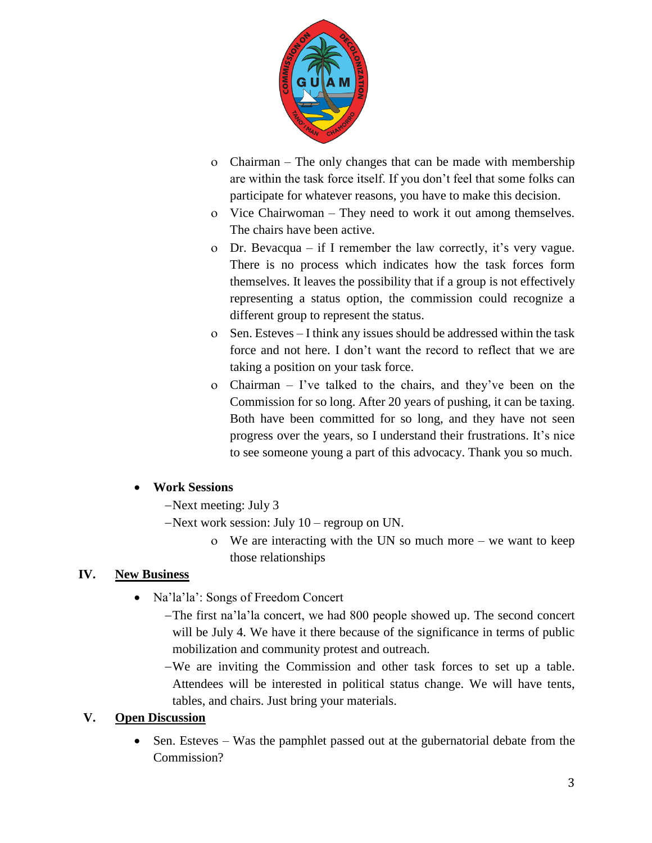

- Chairman The only changes that can be made with membership are within the task force itself. If you don't feel that some folks can participate for whatever reasons, you have to make this decision.
- Vice Chairwoman They need to work it out among themselves. The chairs have been active.
- Dr. Bevacqua if I remember the law correctly, it's very vague. There is no process which indicates how the task forces form themselves. It leaves the possibility that if a group is not effectively representing a status option, the commission could recognize a different group to represent the status.
- Sen. Esteves I think any issues should be addressed within the task force and not here. I don't want the record to reflect that we are taking a position on your task force.
- Chairman I've talked to the chairs, and they've been on the Commission for so long. After 20 years of pushing, it can be taxing. Both have been committed for so long, and they have not seen progress over the years, so I understand their frustrations. It's nice to see someone young a part of this advocacy. Thank you so much.

## **Work Sessions**

- Next meeting: July 3
- Next work session: July 10 regroup on UN.
	- We are interacting with the UN so much more we want to keep those relationships

## **IV. New Business**

- Na'la': Songs of Freedom Concert
	- The first na'la'la concert, we had 800 people showed up. The second concert will be July 4. We have it there because of the significance in terms of public mobilization and community protest and outreach.
	- We are inviting the Commission and other task forces to set up a table. Attendees will be interested in political status change. We will have tents, tables, and chairs. Just bring your materials.

## **V. Open Discussion**

• Sen. Esteves – Was the pamphlet passed out at the gubernatorial debate from the Commission?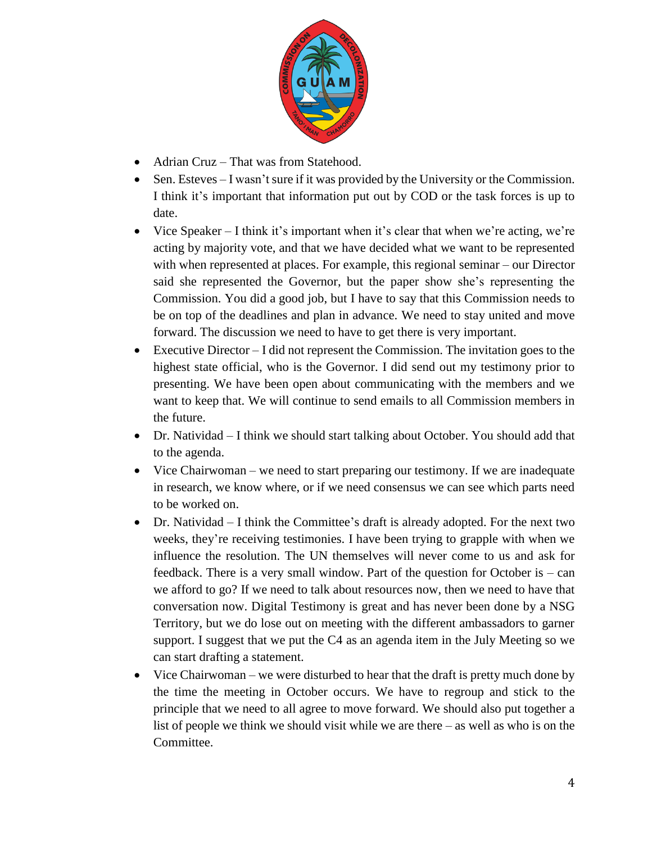

- Adrian Cruz That was from Statehood.
- Sen. Esteves I wasn't sure if it was provided by the University or the Commission. I think it's important that information put out by COD or the task forces is up to date.
- Vice Speaker I think it's important when it's clear that when we're acting, we're acting by majority vote, and that we have decided what we want to be represented with when represented at places. For example, this regional seminar – our Director said she represented the Governor, but the paper show she's representing the Commission. You did a good job, but I have to say that this Commission needs to be on top of the deadlines and plan in advance. We need to stay united and move forward. The discussion we need to have to get there is very important.
- Executive Director I did not represent the Commission. The invitation goes to the highest state official, who is the Governor. I did send out my testimony prior to presenting. We have been open about communicating with the members and we want to keep that. We will continue to send emails to all Commission members in the future.
- Dr. Natividad I think we should start talking about October. You should add that to the agenda.
- Vice Chairwoman we need to start preparing our testimony. If we are inadequate in research, we know where, or if we need consensus we can see which parts need to be worked on.
- Dr. Natividad I think the Committee's draft is already adopted. For the next two weeks, they're receiving testimonies. I have been trying to grapple with when we influence the resolution. The UN themselves will never come to us and ask for feedback. There is a very small window. Part of the question for October is – can we afford to go? If we need to talk about resources now, then we need to have that conversation now. Digital Testimony is great and has never been done by a NSG Territory, but we do lose out on meeting with the different ambassadors to garner support. I suggest that we put the C4 as an agenda item in the July Meeting so we can start drafting a statement.
- Vice Chairwoman we were disturbed to hear that the draft is pretty much done by the time the meeting in October occurs. We have to regroup and stick to the principle that we need to all agree to move forward. We should also put together a list of people we think we should visit while we are there – as well as who is on the Committee.